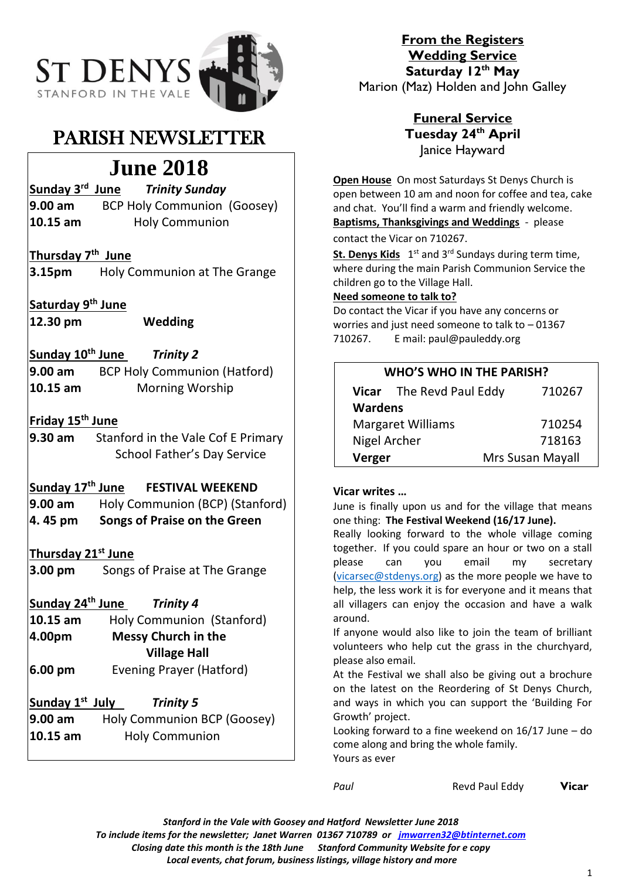

## PARISH NEWSLETTER

# **June 2018**

**Sunday 3rd** *Trinity Sunday* **9.00 am** BCP Holy Communion (Goosey)

**10.15 am** Holy Communion

## **Thursday 7th June**

**3.15pm** Holy Communion at The Grange

**Saturday 9 th June**

**12.30 pm Wedding**

**Sunday 10th June** *Trinity 2* **9.00 am** BCP Holy Communion (Hatford) **10.15 am** Morning Worship

## **Friday 15th June**

**9.30 am** Stanford in the Vale Cof E Primary School Father's Day Service

## **Sunday 17th June FESTIVAL WEEKEND**

**9.00 am** Holy Communion (BCP) (Stanford) **4. 45 pm Songs of Praise on the Green**

## **Thursday 21st June**

**3.00 pm** Songs of Praise at The Grange

**Sunday 24th June** *Trinity 4*

- **10.15 am** Holy Communion (Stanford) **4.00pm Messy Church in the Village Hall 6.00 pm** Evening Prayer (Hatford)
- **Sunday 1st Trinity 5**
- **9.00 am** Holy Communion BCP (Goosey) **10.15 am** Holy Communion

**From the Registers Wedding Service Saturday 12th May** Marion (Maz) Holden and John Galley

## **Funeral Service Tuesday 24th April** Janice Hayward

**Open House** On most Saturdays St Denys Church is open between 10 am and noon for coffee and tea, cake and chat. You'll find a warm and friendly welcome. **Baptisms, Thanksgivings and Weddings** - please contact the Vicar on 710267.

St. Denys Kids 1<sup>st</sup> and 3<sup>rd</sup> Sundays during term time, where during the main Parish Communion Service the children go to the Village Hall.

#### **Need someone to talk to?**

Do contact the Vicar if you have any concerns or worries and just need someone to talk to – 01367 710267. E mail: paul@pauleddy.org

| <b>WHO'S WHO IN THE PARISH?</b> |                          |                  |
|---------------------------------|--------------------------|------------------|
|                                 | Vicar The Revd Paul Eddy | 710267           |
| <b>Wardens</b>                  |                          |                  |
| <b>Margaret Williams</b>        |                          | 710254           |
| Nigel Archer                    |                          | 718163           |
| Verger                          |                          | Mrs Susan Mayall |

## **Vicar writes …**

June is finally upon us and for the village that means one thing: **The Festival Weekend (16/17 June).**

Really looking forward to the whole village coming together. If you could spare an hour or two on a stall please can you email my secretary [\(vicarsec@stdenys.org\)](mailto:vicarsec@stdenys.org) as the more people we have to help, the less work it is for everyone and it means that all villagers can enjoy the occasion and have a walk around.

If anyone would also like to join the team of brilliant volunteers who help cut the grass in the churchyard, please also email.

At the Festival we shall also be giving out a brochure on the latest on the Reordering of St Denys Church, and ways in which you can support the 'Building For Growth' project.

Looking forward to a fine weekend on 16/17 June – do come along and bring the whole family. Yours as ever

*Paul* Revd Paul Eddy**Vicar**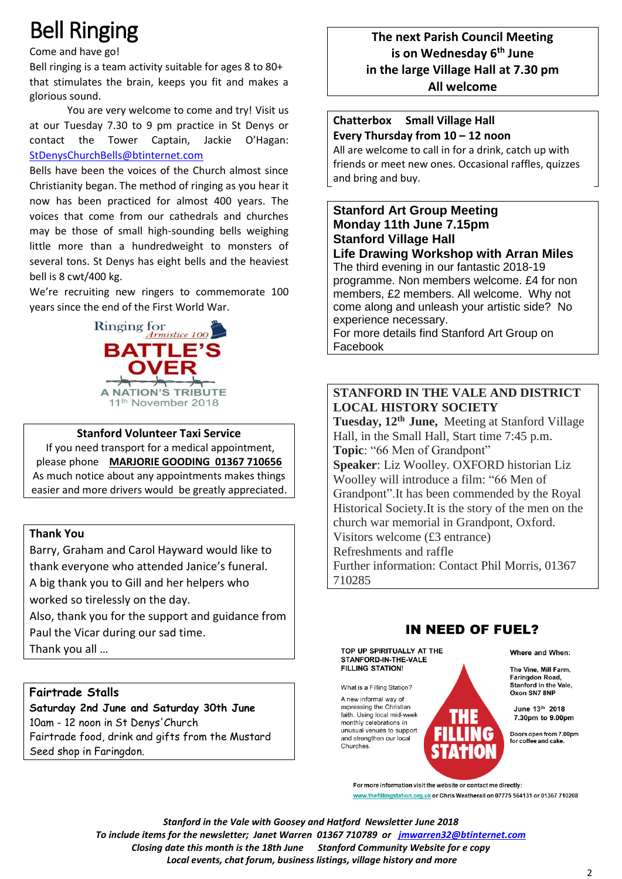# Bell Ringing

Come and have go!

Bell ringing is a team activity suitable for ages 8 to 80+ that stimulates the brain, keeps you fit and makes a glorious sound.

You are very welcome to come and try! Visit us at our Tuesday 7.30 to 9 pm practice in St Denys or contact the Tower Captain, Jackie O'Hagan: [StDenysChurchBells@btinternet.com](mailto:StDenysChurchBells@btinternet.com)

Bells have been the voices of the Church almost since Christianity began. The method of ringing as you hear it now has been practiced for almost 400 years. The voices that come from our cathedrals and churches may be those of small high-sounding bells weighing little more than a hundredweight to monsters of several tons. St Denys has eight bells and the heaviest bell is 8 cwt/400 kg.

We're recruiting new ringers to commemorate 100 years since the end of the First World War.



#### **Stanford Volunteer Taxi Service**

If you need transport for a medical appointment, please phone **MARJORIE GOODING 01367 710656** As much notice about any appointments makes things easier and more drivers would be greatly appreciated.

#### **Thank You**

Barry, Graham and Carol Hayward would like to thank everyone who attended Janice's funeral. A big thank you to Gill and her helpers who

worked so tirelessly on the day.

Also, thank you for the support and guidance from Paul the Vicar during our sad time.

Thank you all …

## **Fairtrade Stalls**

**Saturday 2nd June and Saturday 30th June** 10am - 12 noon in St Denys'Church Fairtrade food, drink and gifts from the Mustard Seed shop in Faringdon.

## **The next Parish Council Meeting is on Wednesday 6 th June in the large Village Hall at 7.30 pm All welcome**

## **Chatterbox Small Village Hall Every Thursday from 10 – 12 noon**

All are welcome to call in for a drink, catch up with friends or meet new ones. Occasional raffles, quizzes and bring and buy.

## **Stanford Art Group Meeting Monday 11th June 7.15pm Stanford Village Hall**

**Life Drawing Workshop with Arran Miles** The third evening in our fantastic 2018-19 programme. Non members welcome. £4 for non members, £2 members. All welcome. Why not come along and unleash your artistic side? No experience necessary.

For more details find Stanford Art Group on Facebook

## **STANFORD IN THE VALE AND DISTRICT LOCAL HISTORY SOCIETY**

**Tuesday, 12th June,** Meeting at Stanford Village Hall, in the Small Hall, Start time 7:45 p.m. **Topic**: "66 Men of Grandpont" **Speaker**: Liz Woolley. OXFORD historian Liz Woolley will introduce a film: "66 Men of Grandpont".It has been commended by the Royal Historical Society.It is the story of the men on the church war memorial in Grandpont, Oxford. Visitors welcome (£3 entrance) Refreshments and raffle

Further information: Contact Phil Morris, 01367 710285



TOP UP SPIRITUALLY AT THE STANFORD-IN-THE-VALE **FILLING STATION!** 

What is a Filling Station? A new informal way of expressing the Christian faith. Using local mid-week monthly celebrations in unusual venues to support and strengthen our local Churches.

#### Where and When:

The Vine, Mill Farm. Faringdon Road, Stanford in the Vale. Oxon SN7 8NP

June 13th 2018 7.30pm to 9.00pm

Doors open from 7.00pm<br>for coffee and cake.

For more information visit the website or contact me directly: www.thefillingstation.org.uk or Chris Weatherall on 07775 564131 or 01367 710208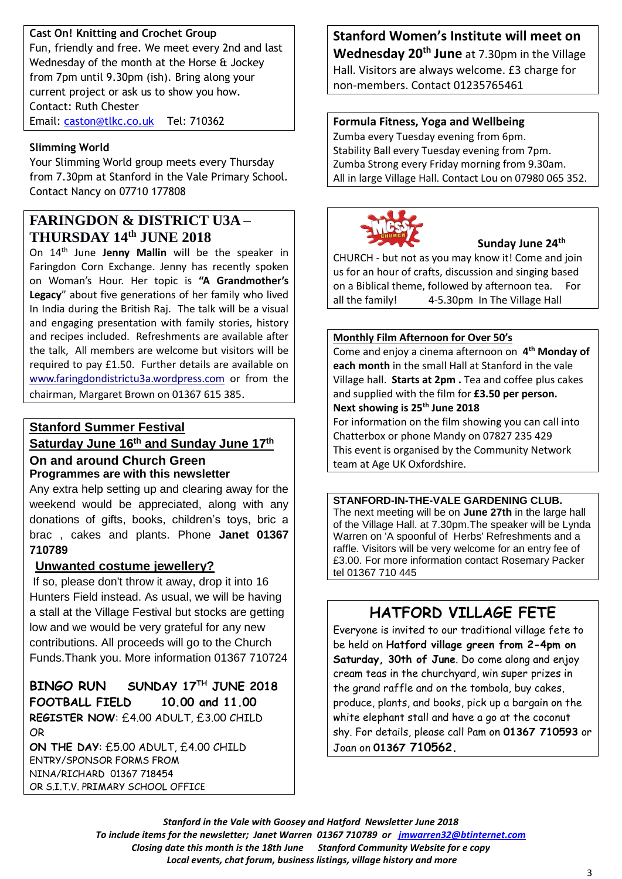## **Cast On! Knitting and Crochet Group**

Fun, friendly and free. We meet every 2nd and last Wednesday of the month at the Horse & Jockey from 7pm until 9.30pm (ish). Bring along your current project or ask us to show you how. Contact: Ruth Chester Email: [caston@tlkc.co.uk](mailto:caston@tlkc.co.uk) Tel: 710362

## **Slimming World**

Your Slimming World group meets every Thursday from 7.30pm at Stanford in the Vale Primary School. Contact Nancy on 07710 177808

## **FARINGDON & DISTRICT U3A – THURSDAY 14 th JUNE 2018**

On 14th June **Jenny Mallin** will be the speaker in Faringdon Corn Exchange. Jenny has recently spoken on Woman's Hour. Her topic is **"A Grandmother's Legacy**" about five generations of her family who lived In India during the British Raj. The talk will be a visual and engaging presentation with family stories, history and recipes included. Refreshments are available after the talk, All members are welcome but visitors will be required to pay £1.50. Further details are available on [www.faringdondistrictu3a.wordpress.com](http://www.faringdondistrictu3a.wordpress.com/) or from the chairman, Margaret Brown on 01367 615 385.

## **Stanford Summer Festival Saturday June 16 th and Sunday June 17 th**

## **On and around Church Green Programmes are with this newsletter**

Any extra help setting up and clearing away for the weekend would be appreciated, along with any donations of gifts, books, children's toys, bric a brac , cakes and plants. Phone **Janet 01367 710789**

## **Unwanted costume jewellery?**

If so, please don't throw it away, drop it into 16 Hunters Field instead. As usual, we will be having a stall at the Village Festival but stocks are getting low and we would be very grateful for any new contributions. All proceeds will go to the Church Funds.Thank you. More information 01367 710724

**BINGO RUN SUNDAY 17TH JUNE 2018 FOOTBALL FIELD 10.00 and 11.00 REGISTER NOW**: £4.00 ADULT, £3.00 CHILD OR

**ON THE DAY**: £5.00 ADULT, £4.00 CHILD ENTRY/SPONSOR FORMS FROM NINA/RICHARD 01367 718454 OR S.I.T.V. PRIMARY SCHOOL OFFICE

**Stanford Women's Institute will meet on Wednesday 20th June** at 7.30pm in the Village Hall. Visitors are always welcome. £3 charge for non-members. Contact 01235765461

#### **Formula Fitness, Yoga and Wellbeing**

Zumba every Tuesday evening from 6pm. Stability Ball every Tuesday evening from 7pm. Zumba Strong every Friday morning from 9.30am. All in large Village Hall. Contact Lou on 07980 065 352.



#### **Sunday June 24th**

CHURCH - but not as you may know it! Come and join us for an hour of crafts, discussion and singing based on a Biblical theme, followed by afternoon tea. For all the family! 4-5.30pm In The Village Hall

#### **Monthly Film Afternoon for Over 50's**

Come and enjoy a cinema afternoon on **4 th Monday of each month** in the small Hall at Stanford in the vale Village hall. **Starts at 2pm .** Tea and coffee plus cakes and supplied with the film for **£3.50 per person. Next showing is 25 th June 2018**

For information on the film showing you can call into Chatterbox or phone Mandy on 07827 235 429 This event is organised by the Community Network team at Age UK Oxfordshire.

#### **STANFORD-IN-THE-VALE GARDENING CLUB.**

The next meeting will be on **June 27th** in the large hall of the Village Hall. at 7.30pm.The speaker will be Lynda Warren on 'A spoonful of Herbs' Refreshments and a raffle. Visitors will be very welcome for an entry fee of £3.00. For more information contact Rosemary Packer tel 01367 710 445

## **HATFORD VILLAGE FETE**

Everyone is invited to our traditional village fete to be held on **Hatford village green from 2-4pm on Saturday, 30th of June**. Do come along and enjoy cream teas in the churchyard, win super prizes in the grand raffle and on the tombola, buy cakes, produce, plants, and books, pick up a bargain on the white elephant stall and have a go at the coconut shy. For details, please call Pam on **01367 710593** or Joan on **01367 710562.**